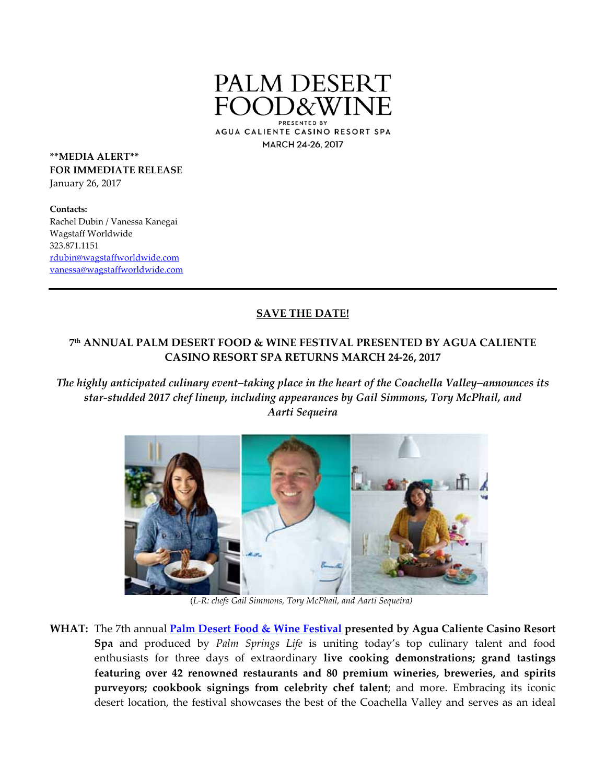

AGUA CALIENTE CASINO RESORT SPA MARCH 24-26, 2017

**\*\*MEDIA ALERT\*\* FOR IMMEDIATE RELEASE** January 26, 2017

**Contacts:** Rachel Dubin / Vanessa Kanegai Wagstaff Worldwide 323.871.1151 rdubin@wagstaffworldwide.com vanessa@wagstaffworldwide.com

## **SAVE THE DATE!**

## **7th ANNUAL PALM DESERT FOOD & WINE FESTIVAL PRESENTED BY AGUA CALIENTE CASINO RESORT SPA RETURNS MARCH 24‐26, 2017**

*The highly anticipated culinary event–taking place in the heart of the Coachella Valley*–*announces its star‐studded 2017 chef lineup, including appearances by Gail Simmons, Tory McPhail, and Aarti Sequeira*



 (*L‐R: chefs Gail Simmons, Tory McPhail, and Aarti Sequeira)*

**WHAT:** The 7th annual **Palm Desert Food & Wine Festival presented by Agua Caliente Casino Resort Spa** and produced by *Palm Springs Life* is uniting today's top culinary talent and food enthusiasts for three days of extraordinary **live cooking demonstrations; grand tastings featuring over 42 renowned restaurants and 80 premium wineries, breweries, and spirits purveyors; cookbook signings from celebrity chef talent**; and more. Embracing its iconic desert location, the festival showcases the best of the Coachella Valley and serves as an ideal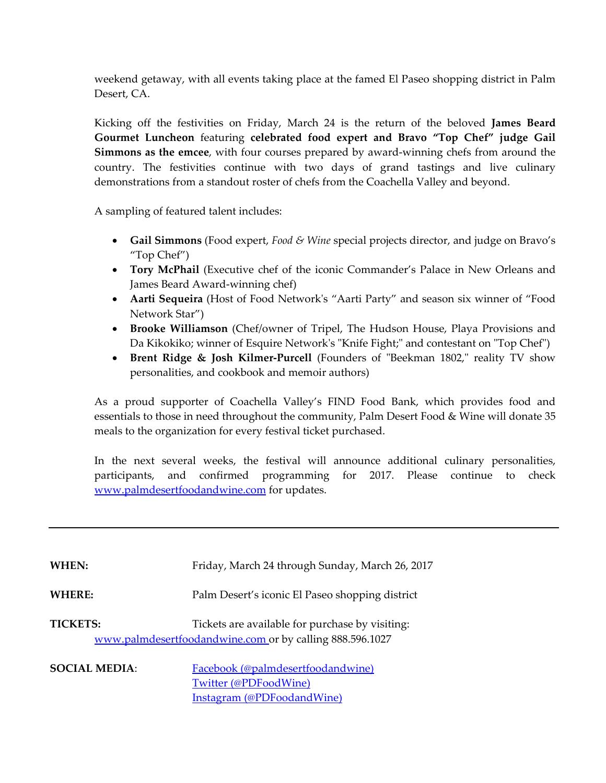weekend getaway, with all events taking place at the famed El Paseo shopping district in Palm Desert, CA.

Kicking off the festivities on Friday, March 24 is the return of the beloved **James Beard Gourmet Luncheon** featuring **celebrated food expert and Bravo "Top Chef" judge Gail Simmons as the emcee**, with four courses prepared by award‐winning chefs from around the country. The festivities continue with two days of grand tastings and live culinary demonstrations from a standout roster of chefs from the Coachella Valley and beyond.

A sampling of featured talent includes:

- **Gail Simmons** (Food expert, *Food & Wine* special projects director, and judge on Bravo's "Top Chef")
- **Tory McPhail** (Executive chef of the iconic Commander's Palace in New Orleans and James Beard Award‐winning chef)
- **Aarti Sequeira** (Host of Food Networkʹs "Aarti Party" and season six winner of "Food Network Star")
- **Brooke Williamson** (Chef/owner of Tripel, The Hudson House, Playa Provisions and Da Kikokiko; winner of Esquire Network's "Knife Fight;" and contestant on "Top Chef")
- **Brent Ridge & Josh Kilmer-Purcell** (Founders of "Beekman 1802," reality TV show personalities, and cookbook and memoir authors)

As a proud supporter of Coachella Valley's FIND Food Bank, which provides food and essentials to those in need throughout the community, Palm Desert Food & Wine will donate 35 meals to the organization for every festival ticket purchased.

In the next several weeks, the festival will announce additional culinary personalities, participants, and confirmed programming for 2017. Please continue to check www.palmdesertfoodandwine.com for updates.

| WHEN:                | Friday, March 24 through Sunday, March 26, 2017                                                             |
|----------------------|-------------------------------------------------------------------------------------------------------------|
| <b>WHERE:</b>        | Palm Desert's iconic El Paseo shopping district                                                             |
| <b>TICKETS:</b>      | Tickets are available for purchase by visiting:<br>www.palmdesertfoodandwine.com or by calling 888.596.1027 |
| <b>SOCIAL MEDIA:</b> | Facebook (@palmdesertfoodandwine)<br>Twitter (@PDFoodWine)<br>Instagram (@PDFoodandWine)                    |